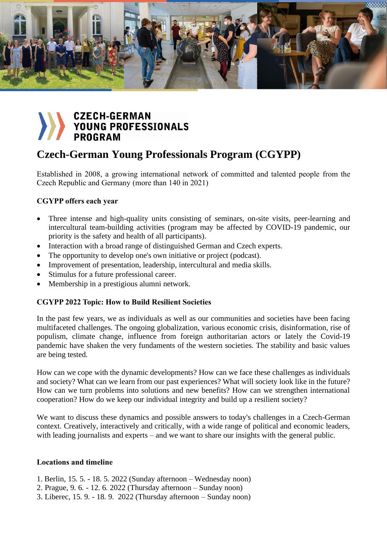

# **CZECH-GERMAN** YOUNG PROFESSIONALS **PROGRAM**

# **Czech-German Young Professionals Program (CGYPP)**

Established in 2008, a growing international network of committed and talented people from the Czech Republic and Germany (more than 140 in 2021)

## **CGYPP offers each year**

- Three intense and high-quality units consisting of seminars, on-site visits, peer-learning and intercultural team-building activities (program may be affected by COVID-19 pandemic, our priority is the safety and health of all participants).
- Interaction with a broad range of distinguished German and Czech experts.
- The opportunity to develop one's own initiative or project (podcast).
- Improvement of presentation, leadership, intercultural and media skills.
- Stimulus for a future professional career.
- Membership in a prestigious alumni network.

## **CGYPP 2022 Topic: How to Build Resilient Societies**

In the past few years, we as individuals as well as our communities and societies have been facing multifaceted challenges. The ongoing globalization, various economic crisis, disinformation, rise of populism, climate change, influence from foreign authoritarian actors or lately the Covid-19 pandemic have shaken the very fundaments of the western societies. The stability and basic values are being tested.

How can we cope with the dynamic developments? How can we face these challenges as individuals and society? What can we learn from our past experiences? What will society look like in the future? How can we turn problems into solutions and new benefits? How can we strengthen international cooperation? How do we keep our individual integrity and build up a resilient society?

We want to discuss these dynamics and possible answers to today's challenges in a Czech-German context. Creatively, interactively and critically, with a wide range of political and economic leaders, with leading journalists and experts – and we want to share our insights with the general public.

#### **Locations and timeline**

- 1. Berlin, 15. 5. 18. 5. 2022 (Sunday afternoon Wednesday noon)
- 2. Prague, 9. 6. 12. 6. 2022 (Thursday afternoon Sunday noon)
- 3. Liberec, 15. 9. 18. 9. 2022 (Thursday afternoon Sunday noon)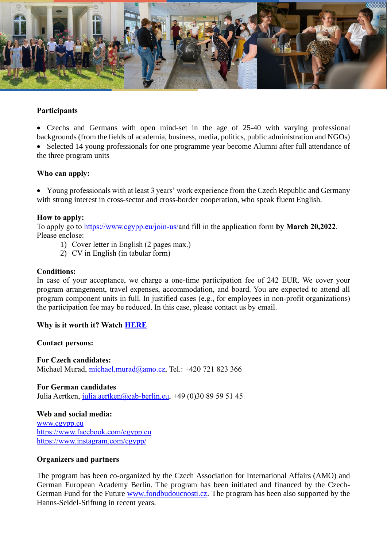

### **Participants**

• Czechs and Germans with open mind-set in the age of 25-40 with varying professional backgrounds (from the fields of academia, business, media, politics, public administration and NGOs)

• Selected 14 young professionals for one programme year become Alumni after full attendance of the three program units

#### **Who can apply:**

• Young professionals with at least 3 years' work experience from the Czech Republic and Germany with strong interest in cross-sector and cross-border cooperation, who speak fluent English.

#### **How to apply:**

To apply go to [https://www.cgypp.eu/join-us/a](https://www.cgypp.eu/join-us/)nd fill in the application form **by March 20,2022**. Please enclose:

- 1) Cover letter in English (2 pages max.)
- 2) CV in English (in tabular form)

#### **Conditions:**

In case of your acceptance, we charge a one-time participation fee of 242 EUR. We cover your program arrangement, travel expenses, accommodation, and board. You are expected to attend all program component units in full. In justified cases (e.g., for employees in non-profit organizations) the participation fee may be reduced. In this case, please contact us by email.

#### **Why is it worth it? Watch [HERE](https://youtu.be/CclYVV7UEGY)**

#### **Contact persons:**

**For Czech candidates:** Michael Murad, [michael.murad@amo.cz,](mailto:michael.murad@amo.cz) Tel.: +420 721 823 366

#### **For German candidates** Julia Aertken, [julia.aertken@eab-berlin.eu,](mailto:julia.aertken@eab-berlin.eu) +49 (0)30 89 59 51 45

**Web and social media:** [www.cgypp.eu](http://www.cgypp.eu/)

<https://www.facebook.com/cgypp.eu> <https://www.instagram.com/cgypp/>

#### **Organizers and partners**

The program has been co-organized by the Czech Association for International Affairs (AMO) and German European Academy Berlin. The program has been initiated and financed by the Czech-German Fund for the Future [www.fondbudoucnosti.cz.](http://www.fondbudoucnosti.cz/) The program has been also supported by the Hanns-Seidel-Stiftung in recent years.